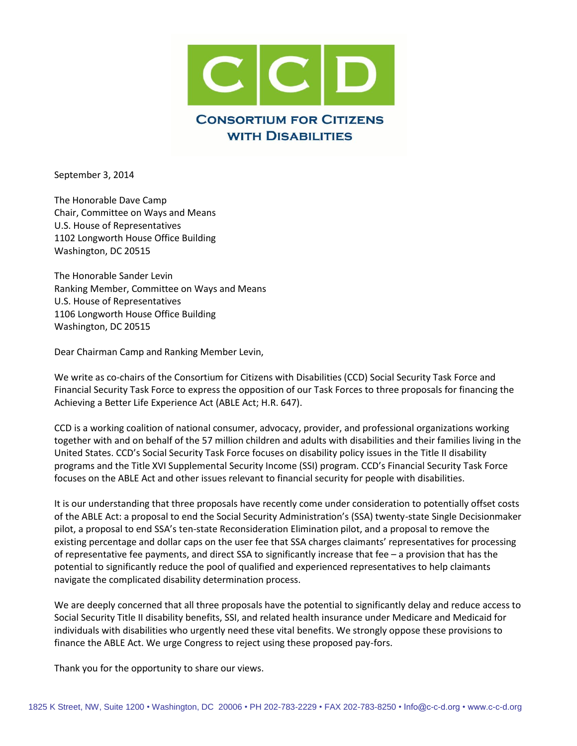

September 3, 2014

The Honorable Dave Camp Chair, Committee on Ways and Means U.S. House of Representatives 1102 Longworth House Office Building Washington, DC 20515

The Honorable Sander Levin Ranking Member, Committee on Ways and Means U.S. House of Representatives 1106 Longworth House Office Building Washington, DC 20515

Dear Chairman Camp and Ranking Member Levin,

We write as co-chairs of the Consortium for Citizens with Disabilities (CCD) Social Security Task Force and Financial Security Task Force to express the opposition of our Task Forces to three proposals for financing the Achieving a Better Life Experience Act (ABLE Act; H.R. 647).

CCD is a working coalition of national consumer, advocacy, provider, and professional organizations working together with and on behalf of the 57 million children and adults with disabilities and their families living in the United States. CCD's Social Security Task Force focuses on disability policy issues in the Title II disability programs and the Title XVI Supplemental Security Income (SSI) program. CCD's Financial Security Task Force focuses on the ABLE Act and other issues relevant to financial security for people with disabilities.

It is our understanding that three proposals have recently come under consideration to potentially offset costs of the ABLE Act: a proposal to end the Social Security Administration's (SSA) twenty-state Single Decisionmaker pilot, a proposal to end SSA's ten-state Reconsideration Elimination pilot, and a proposal to remove the existing percentage and dollar caps on the user fee that SSA charges claimants' representatives for processing of representative fee payments, and direct SSA to significantly increase that fee – a provision that has the potential to significantly reduce the pool of qualified and experienced representatives to help claimants navigate the complicated disability determination process.

We are deeply concerned that all three proposals have the potential to significantly delay and reduce access to Social Security Title II disability benefits, SSI, and related health insurance under Medicare and Medicaid for individuals with disabilities who urgently need these vital benefits. We strongly oppose these provisions to finance the ABLE Act. We urge Congress to reject using these proposed pay-fors.

Thank you for the opportunity to share our views.